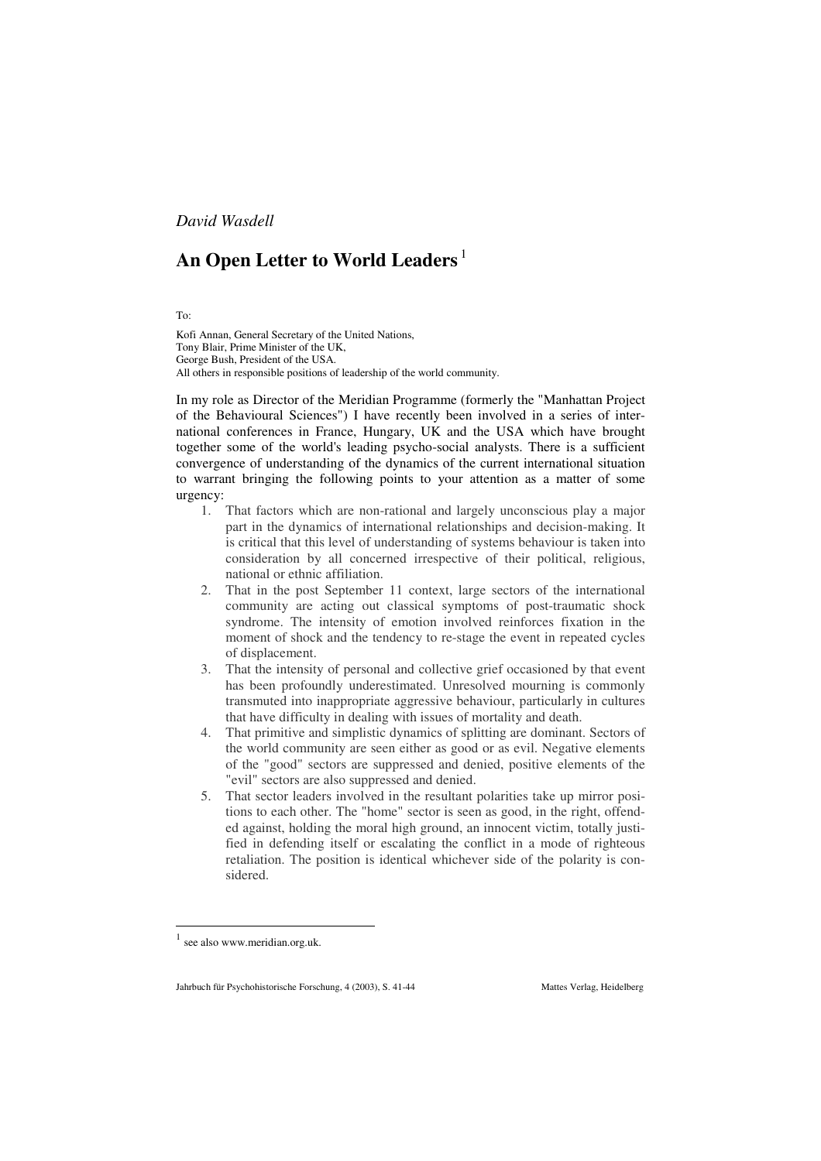*David Wasdell*

## **An Open Letter to World Leaders** <sup>1</sup>

To:

Kofi Annan, General Secretary of the United Nations, Tony Blair, Prime Minister of the UK, George Bush, President of the USA. All others in responsible positions of leadership of the world community.

In my role as Director of the Meridian Programme (formerly the "Manhattan Project of the Behavioural Sciences") I have recently been involved in a series of international conferences in France, Hungary, UK and the USA which have brought together some of the world's leading psycho-social analysts. There is a sufficient convergence of understanding of the dynamics of the current international situation to warrant bringing the following points to your attention as a matter of some urgency:

- 1. That factors which are non-rational and largely unconscious play a major part in the dynamics of international relationships and decision-making. It is critical that this level of understanding of systems behaviour is taken into consideration by all concerned irrespective of their political, religious, national or ethnic affiliation.
- 2. That in the post September 11 context, large sectors of the international community are acting out classical symptoms of post-traumatic shock syndrome. The intensity of emotion involved reinforces fixation in the moment of shock and the tendency to re-stage the event in repeated cycles of displacement.
- 3. That the intensity of personal and collective grief occasioned by that event has been profoundly underestimated. Unresolved mourning is commonly transmuted into inappropriate aggressive behaviour, particularly in cultures that have difficulty in dealing with issues of mortality and death.
- 4. That primitive and simplistic dynamics of splitting are dominant. Sectors of the world community are seen either as good or as evil. Negative elements of the "good" sectors are suppressed and denied, positive elements of the "evil" sectors are also suppressed and denied.
- 5. That sector leaders involved in the resultant polarities take up mirror positions to each other. The "home" sector is seen as good, in the right, offended against, holding the moral high ground, an innocent victim, totally justified in defending itself or escalating the conflict in a mode of righteous retaliation. The position is identical whichever side of the polarity is considered.

see also www.meridian.org.uk.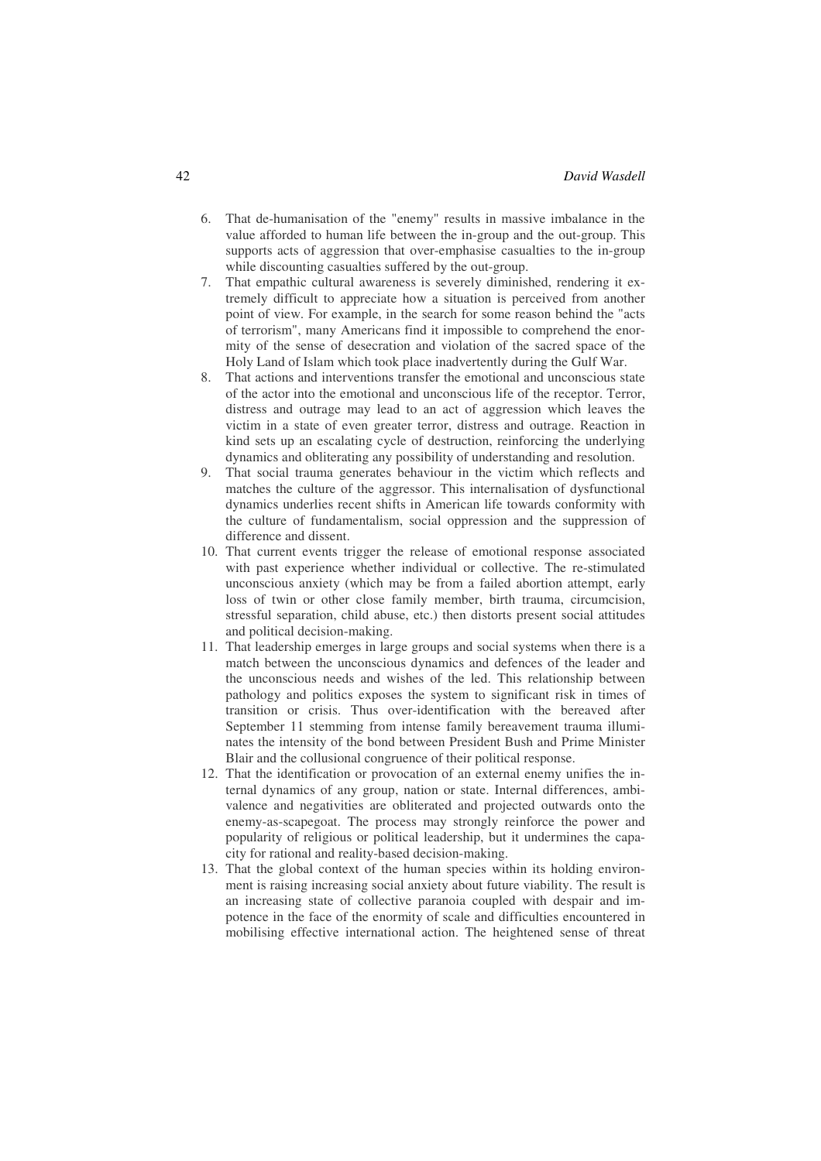- 6. That de-humanisation of the "enemy" results in massive imbalance in the value afforded to human life between the in-group and the out-group. This supports acts of aggression that over-emphasise casualties to the in-group while discounting casualties suffered by the out-group.
- 7. That empathic cultural awareness is severely diminished, rendering it extremely difficult to appreciate how a situation is perceived from another point of view. For example, in the search for some reason behind the "acts of terrorism", many Americans find it impossible to comprehend the enormity of the sense of desecration and violation of the sacred space of the Holy Land of Islam which took place inadvertently during the Gulf War.
- 8. That actions and interventions transfer the emotional and unconscious state of the actor into the emotional and unconscious life of the receptor. Terror, distress and outrage may lead to an act of aggression which leaves the victim in a state of even greater terror, distress and outrage. Reaction in kind sets up an escalating cycle of destruction, reinforcing the underlying dynamics and obliterating any possibility of understanding and resolution.
- 9. That social trauma generates behaviour in the victim which reflects and matches the culture of the aggressor. This internalisation of dysfunctional dynamics underlies recent shifts in American life towards conformity with the culture of fundamentalism, social oppression and the suppression of difference and dissent.
- 10. That current events trigger the release of emotional response associated with past experience whether individual or collective. The re-stimulated unconscious anxiety (which may be from a failed abortion attempt, early loss of twin or other close family member, birth trauma, circumcision, stressful separation, child abuse, etc.) then distorts present social attitudes and political decision-making.
- 11. That leadership emerges in large groups and social systems when there is a match between the unconscious dynamics and defences of the leader and the unconscious needs and wishes of the led. This relationship between pathology and politics exposes the system to significant risk in times of transition or crisis. Thus over-identification with the bereaved after September 11 stemming from intense family bereavement trauma illuminates the intensity of the bond between President Bush and Prime Minister Blair and the collusional congruence of their political response.
- 12. That the identification or provocation of an external enemy unifies the internal dynamics of any group, nation or state. Internal differences, ambivalence and negativities are obliterated and projected outwards onto the enemy-as-scapegoat. The process may strongly reinforce the power and popularity of religious or political leadership, but it undermines the capacity for rational and reality-based decision-making.
- 13. That the global context of the human species within its holding environment is raising increasing social anxiety about future viability. The result is an increasing state of collective paranoia coupled with despair and impotence in the face of the enormity of scale and difficulties encountered in mobilising effective international action. The heightened sense of threat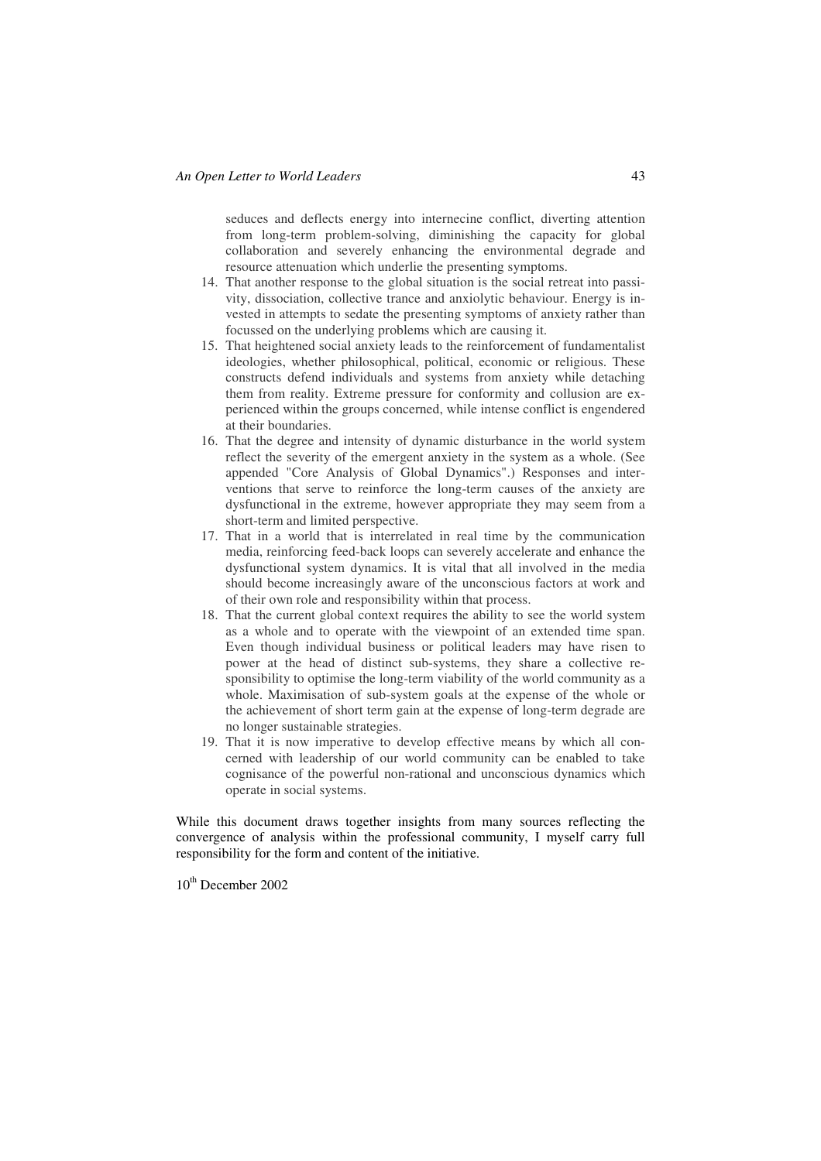seduces and deflects energy into internecine conflict, diverting attention from long-term problem-solving, diminishing the capacity for global collaboration and severely enhancing the environmental degrade and resource attenuation which underlie the presenting symptoms.

- 14. That another response to the global situation is the social retreat into passivity, dissociation, collective trance and anxiolytic behaviour. Energy is invested in attempts to sedate the presenting symptoms of anxiety rather than focussed on the underlying problems which are causing it.
- 15. That heightened social anxiety leads to the reinforcement of fundamentalist ideologies, whether philosophical, political, economic or religious. These constructs defend individuals and systems from anxiety while detaching them from reality. Extreme pressure for conformity and collusion are experienced within the groups concerned, while intense conflict is engendered at their boundaries.
- 16. That the degree and intensity of dynamic disturbance in the world system reflect the severity of the emergent anxiety in the system as a whole. (See appended "Core Analysis of Global Dynamics".) Responses and interventions that serve to reinforce the long-term causes of the anxiety are dysfunctional in the extreme, however appropriate they may seem from a short-term and limited perspective.
- 17. That in a world that is interrelated in real time by the communication media, reinforcing feed-back loops can severely accelerate and enhance the dysfunctional system dynamics. It is vital that all involved in the media should become increasingly aware of the unconscious factors at work and of their own role and responsibility within that process.
- 18. That the current global context requires the ability to see the world system as a whole and to operate with the viewpoint of an extended time span. Even though individual business or political leaders may have risen to power at the head of distinct sub-systems, they share a collective responsibility to optimise the long-term viability of the world community as a whole. Maximisation of sub-system goals at the expense of the whole or the achievement of short term gain at the expense of long-term degrade are no longer sustainable strategies.
- 19. That it is now imperative to develop effective means by which all concerned with leadership of our world community can be enabled to take cognisance of the powerful non-rational and unconscious dynamics which operate in social systems.

While this document draws together insights from many sources reflecting the convergence of analysis within the professional community, I myself carry full responsibility for the form and content of the initiative.

10<sup>th</sup> December 2002